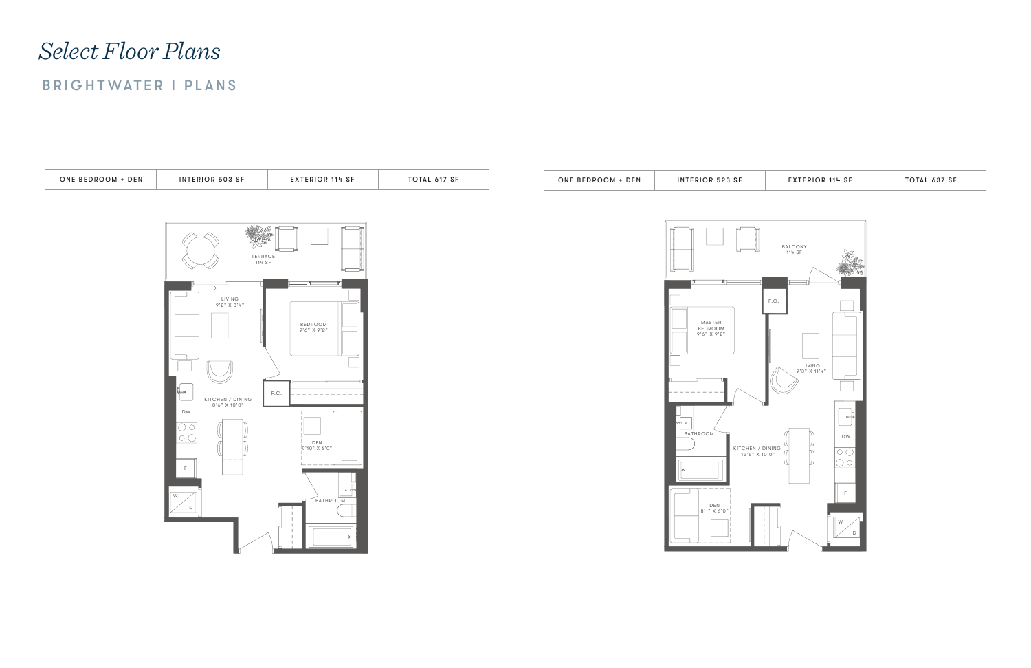



# *Select Floor Plans*

## BRIGHTWATER I PLANS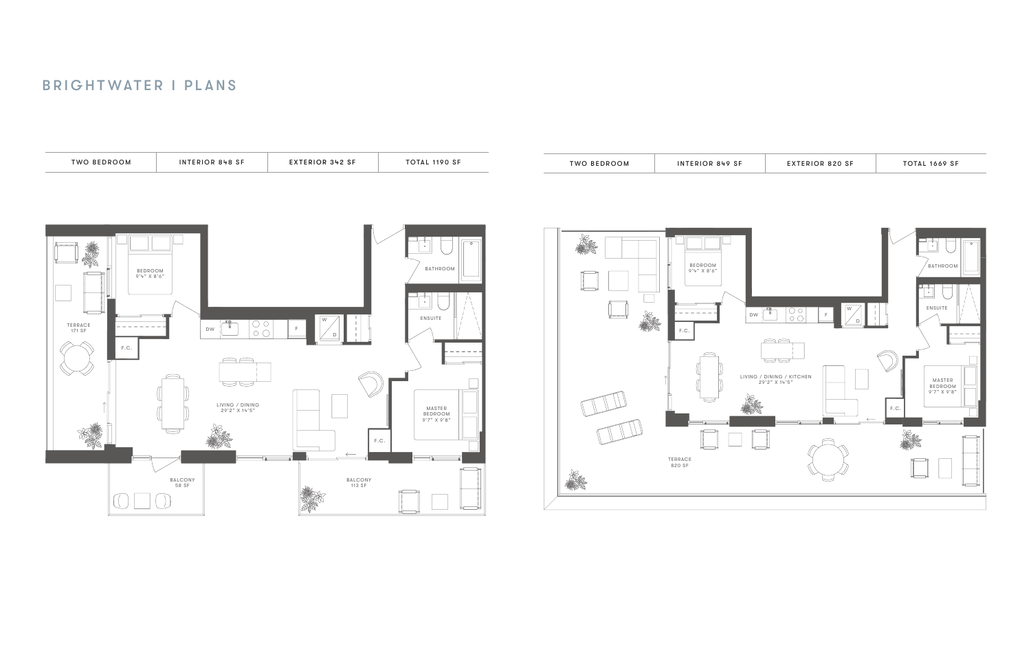



### BRIGHTWATER I PLANS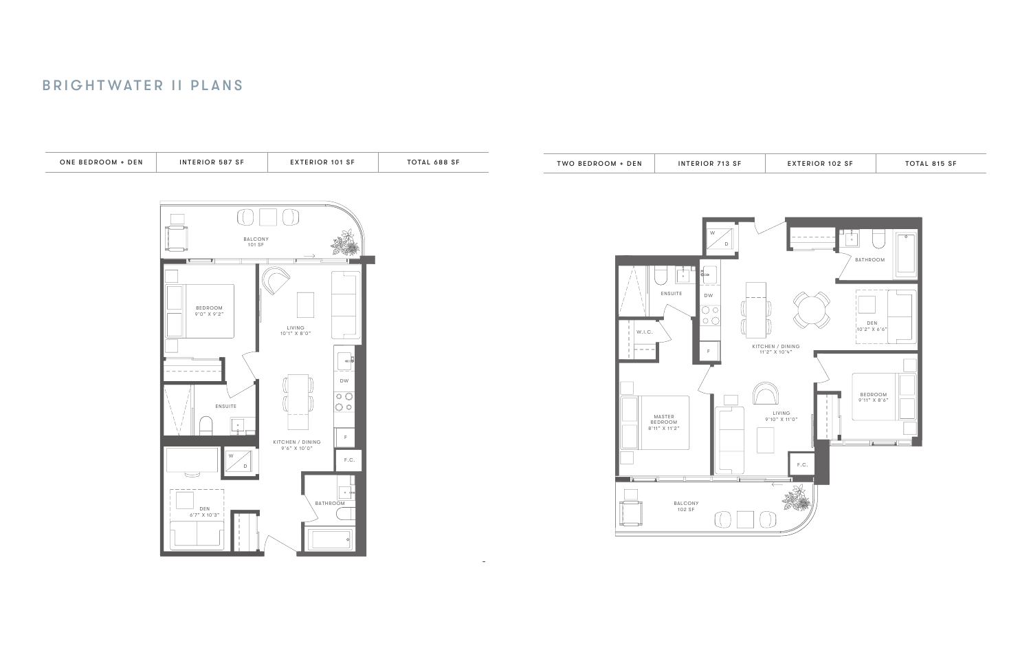



### BRIGHTWATER II PLANS